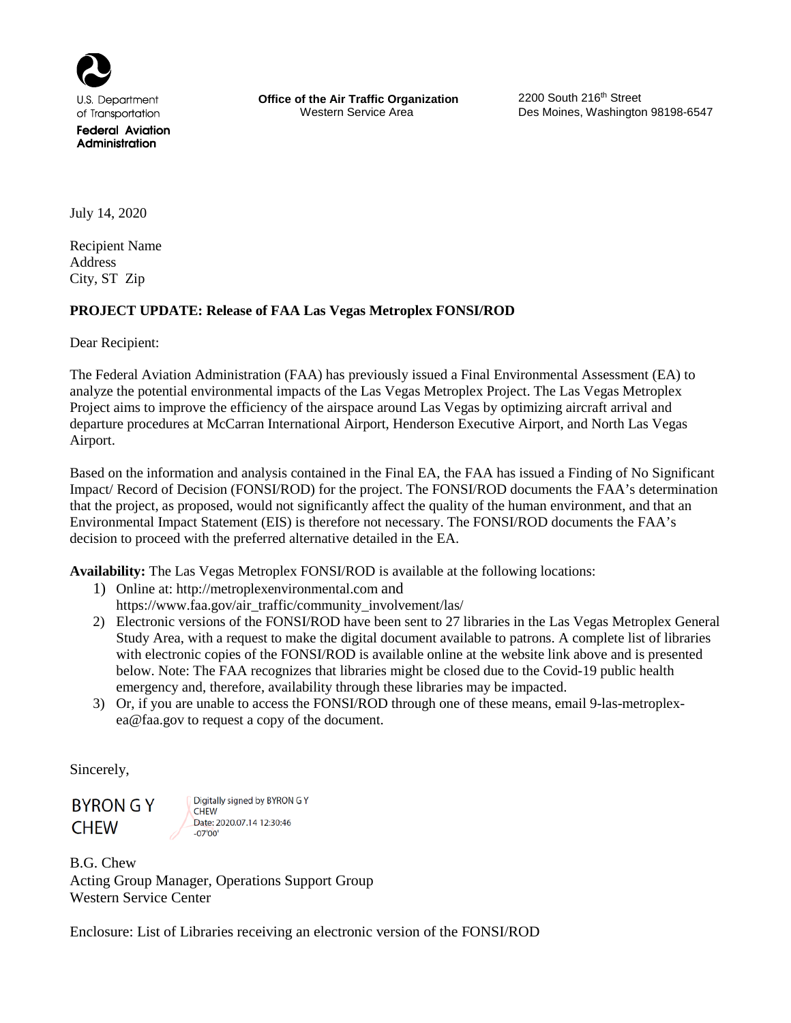

of Transportation

**Federal Aviation** Administration

**Office of the Air Traffic Organization** 2200 South 216<sup>th</sup> Street<br>Western Service Area **Des Moines, Washington** 

Des Moines, Washington 98198-6547

July 14, 2020

Recipient Name Address City, ST Zip

# **PROJECT UPDATE: Release of FAA Las Vegas Metroplex FONSI/ROD**

Dear Recipient:

The Federal Aviation Administration (FAA) has previously issued a Final Environmental Assessment (EA) to analyze the potential environmental impacts of the Las Vegas Metroplex Project. The Las Vegas Metroplex Project aims to improve the efficiency of the airspace around Las Vegas by optimizing aircraft arrival and departure procedures at McCarran International Airport, Henderson Executive Airport, and North Las Vegas Airport.

Based on the information and analysis contained in the Final EA, the FAA has issued a Finding of No Significant Impact/ Record of Decision (FONSI/ROD) for the project. The FONSI/ROD documents the FAA's determination that the project, as proposed, would not significantly affect the quality of the human environment, and that an Environmental Impact Statement (EIS) is therefore not necessary. The FONSI/ROD documents the FAA's decision to proceed with the preferred alternative detailed in the EA.

**Availability:** The Las Vegas Metroplex FONSI/ROD is available at the following locations:

- 1) Online at: http://metroplexenvironmental.com and https://www.faa.gov/air\_traffic/community\_involvement/las/
- 2) Electronic versions of the FONSI/ROD have been sent to 27 libraries in the Las Vegas Metroplex General Study Area, with a request to make the digital document available to patrons. A complete list of libraries with electronic copies of the FONSI/ROD is available online at the website link above and is presented below. Note: The FAA recognizes that libraries might be closed due to the Covid-19 public health emergency and, therefore, availability through these libraries may be impacted.
- 3) Or, if you are unable to access the FONSI/ROD through one of these means, email [9-las-metroplex](mailto:9-las-metroplex-ea@faa.gov)[ea@faa.gov](mailto:9-las-metroplex-ea@faa.gov) to request a copy of the document.

Sincerely,

**BYRON G Y CHEW** 

Digitally signed by BYRON G Y **CHEW** Date: 2020.07.14 12:30:46  $-07'00'$ 

B.G. Chew Acting Group Manager, Operations Support Group Western Service Center

Enclosure: List of Libraries receiving an electronic version of the FONSI/ROD